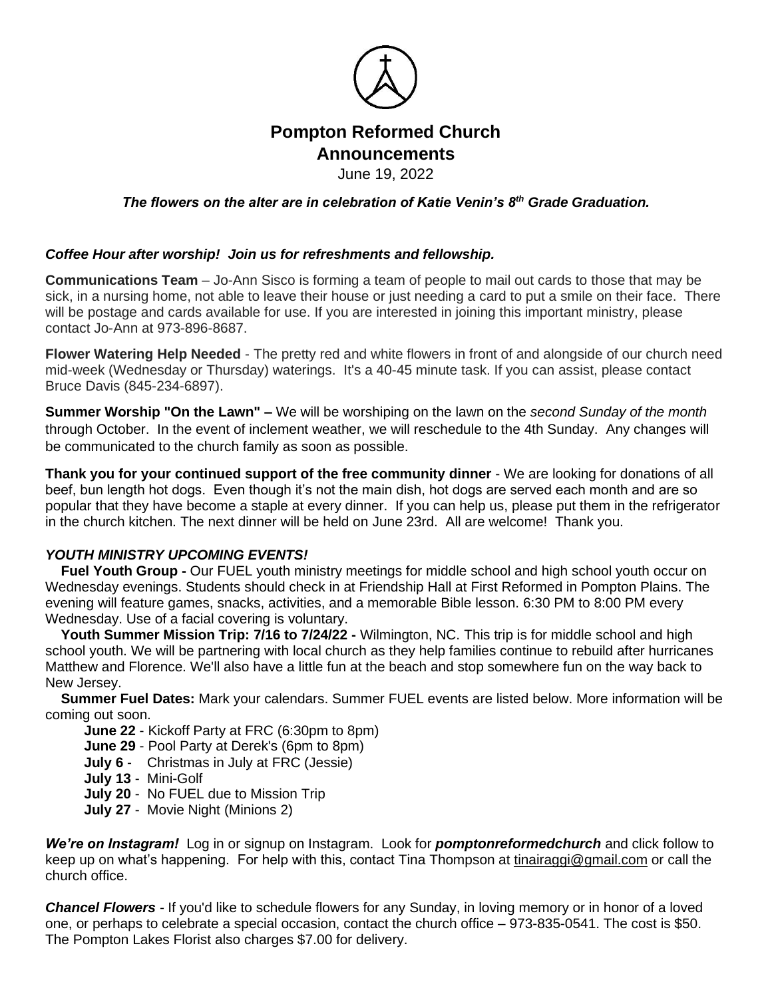

## **Pompton Reformed Church Announcements**

June 19, 2022

*The flowers on the alter are in celebration of Katie Venin's 8th Grade Graduation.*

## *Coffee Hour after worship! Join us for refreshments and fellowship.*

**Communications Team** – Jo-Ann Sisco is forming a team of people to mail out cards to those that may be sick, in a nursing home, not able to leave their house or just needing a card to put a smile on their face. There will be postage and cards available for use. If you are interested in joining this important ministry, please contact Jo-Ann at 973-896-8687.

**Flower Watering Help Needed** - The pretty red and white flowers in front of and alongside of our church need mid-week (Wednesday or Thursday) waterings. It's a 40-45 minute task. If you can assist, please contact Bruce Davis (845-234-6897).

**Summer Worship "On the Lawn" –** We will be worshiping on the lawn on the *second Sunday of the month* through October. In the event of inclement weather, we will reschedule to the 4th Sunday. Any changes will be communicated to the church family as soon as possible.

**Thank you for your continued support of the free community dinner** - We are looking for donations of all beef, bun length hot dogs. Even though it's not the main dish, hot dogs are served each month and are so popular that they have become a staple at every dinner. If you can help us, please put them in the refrigerator in the church kitchen. The next dinner will be held on June 23rd. All are welcome! Thank you.

## *YOUTH MINISTRY UPCOMING EVENTS!*

 **Fuel Youth Group -** Our FUEL youth ministry meetings for middle school and high school youth occur on Wednesday evenings. Students should check in at Friendship Hall at First Reformed in Pompton Plains. The evening will feature games, snacks, activities, and a memorable Bible lesson. 6:30 PM to 8:00 PM every Wednesday. Use of a facial covering is voluntary.

 **Youth Summer Mission Trip: 7/16 to 7/24/22 -** Wilmington, NC. This trip is for middle school and high school youth. We will be partnering with local church as they help families continue to rebuild after hurricanes Matthew and Florence. We'll also have a little fun at the beach and stop somewhere fun on the way back to New Jersey.

 **Summer Fuel Dates:** Mark your calendars. Summer FUEL events are listed below. More information will be coming out soon.

**June 22** - Kickoff Party at FRC (6:30pm to 8pm)

**June 29** - Pool Party at Derek's (6pm to 8pm)

- **July 6** Christmas in July at FRC (Jessie)
- **July 13** Mini-Golf
- **July 20** No FUEL due to Mission Trip
- **July 27** Movie Night (Minions 2)

*We're on Instagram!* Log in or signup on Instagram. Look for *pomptonreformedchurch* and click follow to keep up on what's happening. For help with this, contact Tina Thompson at [tinairaggi@gmail.com](mailto:tinairaggi@gmail.com) or call the church office.

*Chancel Flowers -* If you'd like to schedule flowers for any Sunday, in loving memory or in honor of a loved one, or perhaps to celebrate a special occasion, contact the church office – 973-835-0541. The cost is \$50. The Pompton Lakes Florist also charges \$7.00 for delivery.